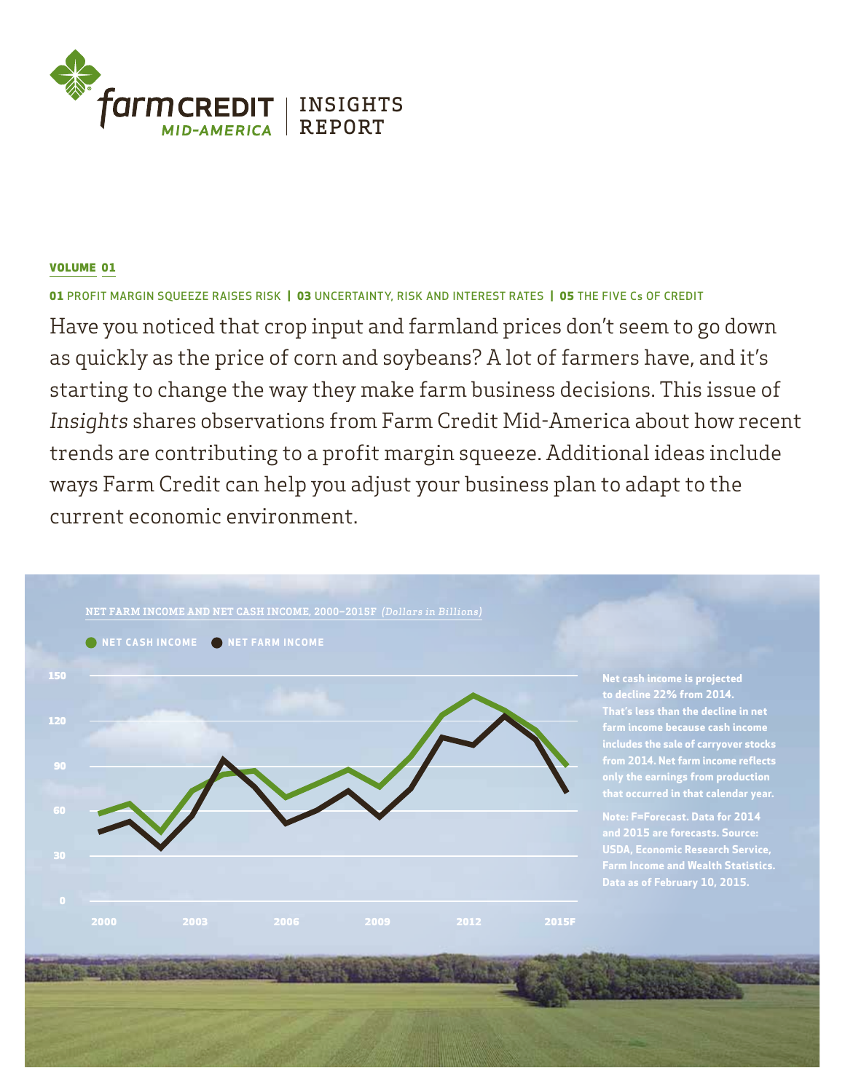

# VOLUME 01

01 PROFIT MARGIN SQUEEZE RAISES RISK | 03 UNCERTAINTY, RISK AND INTEREST RATES | 05 THE FIVE Cs OF CREDIT

Have you noticed that crop input and farmland prices don't seem to go down as quickly as the price of corn and soybeans? A lot of farmers have, and it's starting to change the way they make farm business decisions. This issue of *Insights* shares observations from Farm Credit Mid-America about how recent trends are contributing to a profit margin squeeze. Additional ideas include ways Farm Credit can help you adjust your business plan to adapt to the current economic environment.

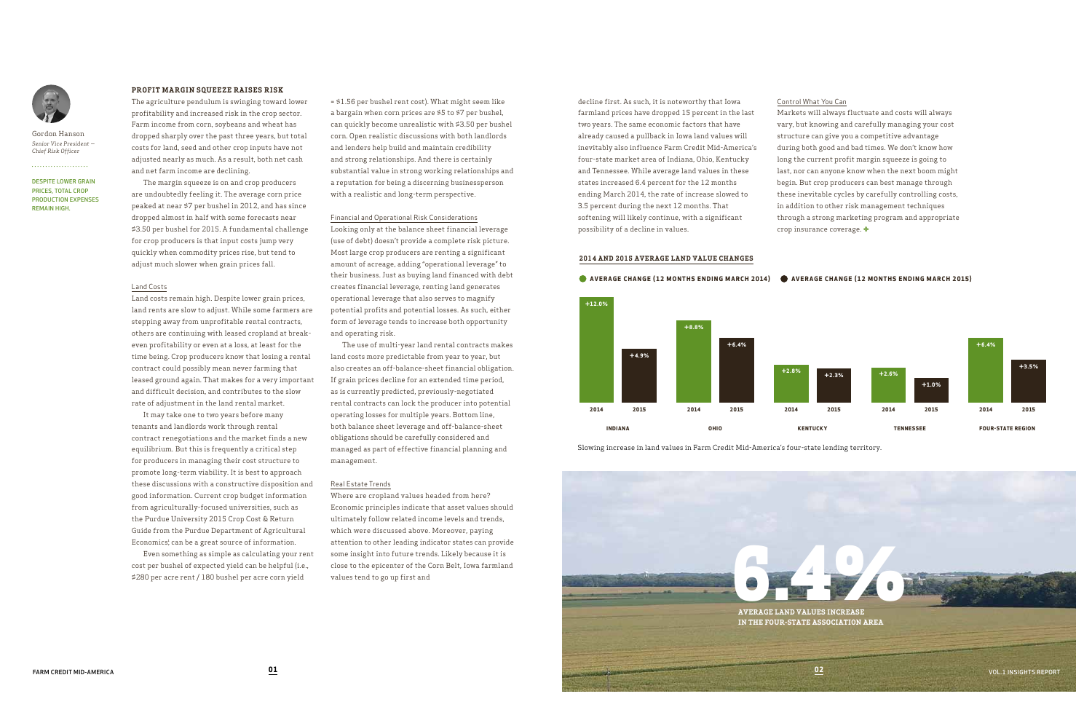DESPITE LOWER GRAIN PRICES, TOTAL CROP PRODUCTION EXPENSES

REMAIN HIGH.



Gordon Hanson *Senior Vice President — Chief Risk Officer*

. . . . . . . . . . . . . . . . . . . .

# **PROFIT MARGIN SQUEEZE RAISES RISK**

The agriculture pendulum is swinging toward lower profitability and increased risk in the crop sector. Farm income from corn, soybeans and wheat has dropped sharply over the past three years, but total costs for land, seed and other crop inputs have not adjusted nearly as much. As a result, both net cash and net farm income are declining.

The margin squeeze is on and crop producers are undoubtedly feeling it. The average corn price peaked at near \$7 per bushel in 2012, and has since dropped almost in half with some forecasts near \$3.50 per bushel for 2015. A fundamental challenge for crop producers is that input costs jump very quickly when commodity prices rise, but tend to adjust much slower when grain prices fall.

It may take one to two years before many tenants and landlords work through rental contract renegotiations and the market finds a new equilibrium. But this is frequently a critical step for producers in managing their cost structure to promote long-term viability. It is best to approach these discussions with a constructive disposition and good information. Current crop budget information from agriculturally-focused universities, such as the Purdue University 2015 Crop Cost & Return Guide from the Purdue Department of Agricultural Economics; can be a great source of information.

## Land Costs

Land costs remain high. Despite lower grain prices, land rents are slow to adjust. While some farmers are stepping away from unprofitable rental contracts, others are continuing with leased cropland at breakeven profitability or even at a loss, at least for the time being. Crop producers know that losing a rental contract could possibly mean never farming that leased ground again. That makes for a very important and difficult decision, and contributes to the slow rate of adjustment in the land rental market.

Even something as simple as calculating your rent cost per bushel of expected yield can be helpful (i.e., \$280 per acre rent / 180 bushel per acre corn yield

= \$1.56 per bushel rent cost). What might seem like a bargain when corn prices are \$5 to \$7 per bushel, can quickly become unrealistic with \$3.50 per bushel corn. Open realistic discussions with both landlords and lenders help build and maintain credibility and strong relationships. And there is certainly substantial value in strong working relationships and a reputation for being a discerning businessperson with a realistic and long-term perspective.

Financial and Operational Risk Considerations Looking only at the balance sheet financial leverage (use of debt) doesn't provide a complete risk picture. Most large crop producers are renting a significant amount of acreage, adding "operational leverage" to their business. Just as buying land financed with debt creates financial leverage, renting land generates operational leverage that also serves to magnify potential profits and potential losses. As such, either form of leverage tends to increase both opportunity and operating risk.

The use of multi-year land rental contracts makes land costs more predictable from year to year, but also creates an off-balance-sheet financial obligation. If grain prices decline for an extended time period, as is currently predicted, previously-negotiated rental contracts can lock the producer into potential operating losses for multiple years. Bottom line, both balance sheet leverage and off-balance-sheet obligations should be carefully considered and managed as part of effective financial planning and management.

# Real Estate Trends

Where are cropland values headed from here? Economic principles indicate that asset values should ultimately follow related income levels and trends, which were discussed above. Moreover, paying attention to other leading indicator states can provide some insight into future trends. Likely because it is close to the epicenter of the Corn Belt, Iowa farmland values tend to go up first and

# Control What You Can

Markets will always fluctuate and costs will always vary, but knowing and carefully managing your cost structure can give you a competitive advantage during both good and bad times. We don't know how long the current profit margin squeeze is going to last, nor can anyone know when the next boom might begin. But crop producers can best manage through these inevitable cycles by carefully controlling costs, in addition to other risk management techniques through a strong marketing program and appropriate crop insurance coverage.

## $\bullet$  AVERAGE CHANGE (12 MONTHS ENDING MARCH 2014)  $\bullet$  AVERAGE CHANGE (12 MONTHS ENDING MARCH 2015)

decline first. As such, it is noteworthy that Iowa farmland prices have dropped 15 percent in the last two years. The same economic factors that have already caused a pullback in Iowa land values will inevitably also influence Farm Credit Mid-America's four-state market area of Indiana, Ohio, Kentucky and Tennessee. While average land values in these states increased 6.4 percent for the 12 months ending March 2014, the rate of increase slowed to 3.5 percent during the next 12 months. That softening will likely continue, with a significant possibility of a decline in values.

Slowing increase in land values in Farm Credit Mid-America's four-state lending territory.







#### **2014 AND 2015 AVERAGE LAND VALUE CHANGES**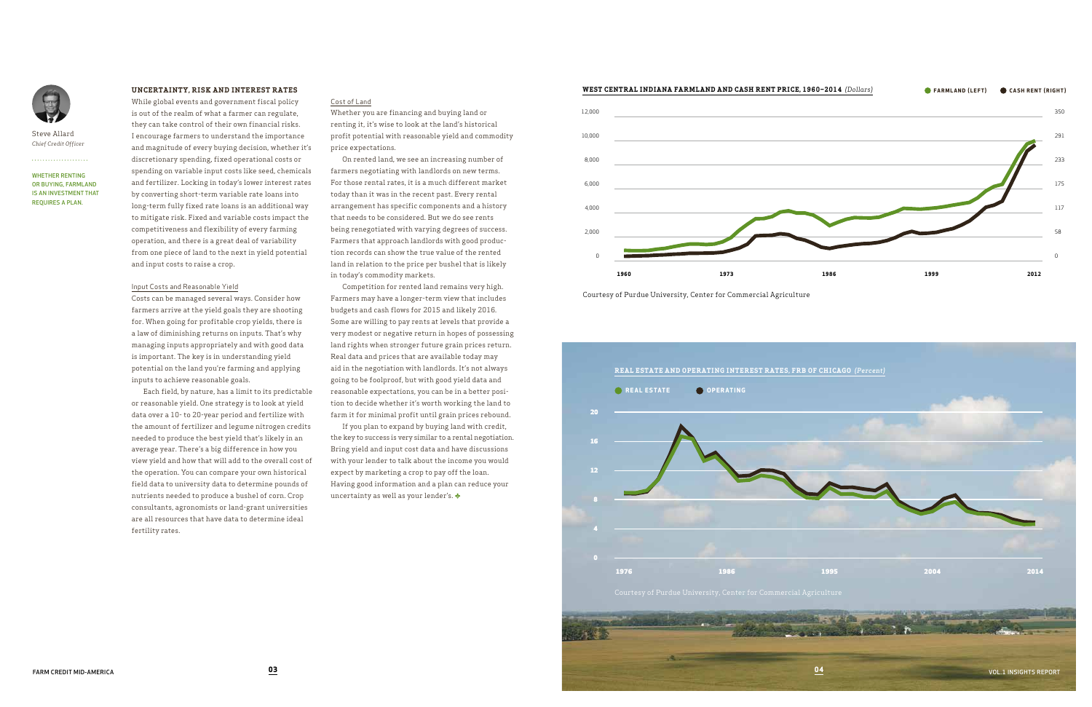# **UNCERTAINTY, RISK AND INTEREST RATES**

While global events and government fiscal policy is out of the realm of what a farmer can regulate, they can take control of their own financial risks. I encourage farmers to understand the importance and magnitude of every buying decision, whether it's discretionary spending, fixed operational costs or spending on variable input costs like seed, chemicals and fertilizer. Locking in today's lower interest rates by converting short-term variable rate loans into long-term fully fixed rate loans is an additional way to mitigate risk. Fixed and variable costs impact the competitiveness and flexibility of every farming operation, and there is a great deal of variability from one piece of land to the next in yield potential and input costs to raise a crop.

#### Input Costs and Reasonable Yield

Costs can be managed several ways. Consider how farmers arrive at the yield goals they are shooting for. When going for profitable crop yields, there is a law of diminishing returns on inputs. That's why managing inputs appropriately and with good data is important. The key is in understanding yield potential on the land you're farming and applying inputs to achieve reasonable goals.

Each field, by nature, has a limit to its predictable or reasonable yield. One strategy is to look at yield data over a 10- to 20-year period and fertilize with the amount of fertilizer and legume nitrogen credits needed to produce the best yield that's likely in an average year. There's a big difference in how you view yield and how that will add to the overall cost of the operation. You can compare your own historical field data to university data to determine pounds of nutrients needed to produce a bushel of corn. Crop consultants, agronomists or land-grant universities are all resources that have data to determine ideal fertility rates.

If you plan to expand by buying land with credit, the key to success is very similar to a rental negotiation. Bring yield and input cost data and have discussions with your lender to talk about the income you would expect by marketing a crop to pay off the loan. Having good information and a plan can reduce your uncertainty as well as your lender's.  $\blacklozenge$ 

#### Cost of Land

Whether you are financing and buying land or renting it, it's wise to look at the land's historical profit potential with reasonable yield and commodity price expectations.

On rented land, we see an increasing number of farmers negotiating with landlords on new terms. For those rental rates, it is a much different market today than it was in the recent past. Every rental arrangement has specific components and a history that needs to be considered. But we do see rents being renegotiated with varying degrees of success. Farmers that approach landlords with good production records can show the true value of the rented land in relation to the price per bushel that is likely in today's commodity markets.

Competition for rented land remains very high. Farmers may have a longer-term view that includes budgets and cash flows for 2015 and likely 2016. Some are willing to pay rents at levels that provide a very modest or negative return in hopes of possessing land rights when stronger future grain prices return. Real data and prices that are available today may aid in the negotiation with landlords. It's not always going to be foolproof, but with good yield data and reasonable expectations, you can be in a better position to decide whether it's worth working the land to farm it for minimal profit until grain prices rebound.

WHETHER RENTING OR BUYING, FARMLAND IS AN INVESTMENT THAT REQUIRES A PLAN.



Steve Allard *Chief Credit Officer*

. . . . . . . . . . . . . . . . .

Courtesy of Purdue University, Center for Commercial Agriculture



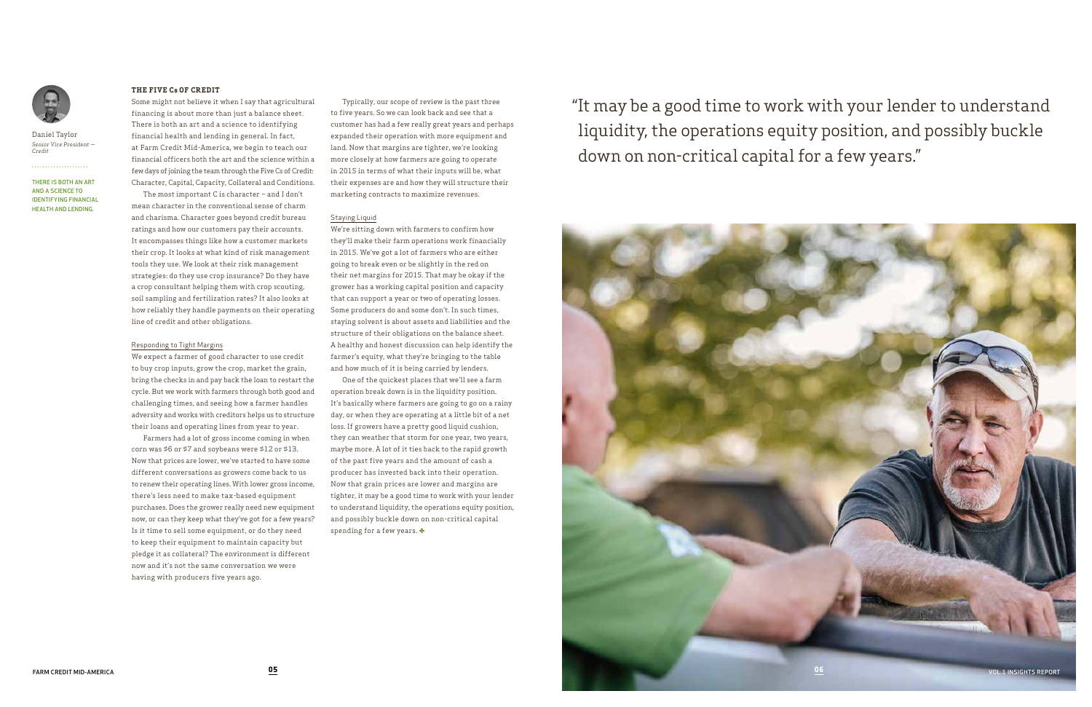THERE IS BOTH AN ART AND A SCIENCE TO IDENTIFYING FINANCIAL HEALTH AND LENDING.



Daniel Taylor *Senior Vice President — Credit*

. . . . . . . . . . . . . . . . . . . .

## **THE FIVE Cs OF CREDIT**

Some might not believe it when I say that agricultural financing is about more than just a balance sheet. There is both an art and a science to identifying financial health and lending in general. In fact, at Farm Credit Mid-America, we begin to teach our financial officers both the art and the science within a few days of joining the team through the Five Cs of Credit: Character, Capital, Capacity, Collateral and Conditions.

The most important C is character – and I don't mean character in the conventional sense of charm and charisma. Character goes beyond credit bureau ratings and how our customers pay their accounts. It encompasses things like how a customer markets their crop. It looks at what kind of risk management tools they use. We look at their risk management strategies: do they use crop insurance? Do they have a crop consultant helping them with crop scouting, soil sampling and fertilization rates? It also looks at how reliably they handle payments on their operating line of credit and other obligations.

## Responding to Tight Margins

We expect a farmer of good character to use credit to buy crop inputs, grow the crop, market the grain, bring the checks in and pay back the loan to restart the cycle. But we work with farmers through both good and challenging times, and seeing how a farmer handles adversity and works with creditors helps us to structure their loans and operating lines from year to year.

One of the quickest places that we'll see a farm operation break down is in the liquidity position. It's basically where farmers are going to go on a rainy day, or when they are operating at a little bit of a net loss. If growers have a pretty good liquid cushion, they can weather that storm for one year, two years, maybe more. A lot of it ties back to the rapid growth of the past five years and the amount of cash a producer has invested back into their operation. Now that grain prices are lower and margins are tighter, it may be a good time to work with your lender to understand liquidity, the operations equity position, and possibly buckle down on non-critical capital spending for a few years.

Farmers had a lot of gross income coming in when corn was \$6 or \$7 and soybeans were \$12 or \$13. Now that prices are lower, we've started to have some different conversations as growers come back to us to renew their operating lines. With lower gross income, there's less need to make tax-based equipment purchases. Does the grower really need new equipment now, or can they keep what they've got for a few years? Is it time to sell some equipment, or do they need to keep their equipment to maintain capacity but pledge it as collateral? The environment is different now and it's not the same conversation we were having with producers five years ago.

Typically, our scope of review is the past three to five years. So we can look back and see that a customer has had a few really great years and perhaps expanded their operation with more equipment and land. Now that margins are tighter, we're looking more closely at how farmers are going to operate in 2015 in terms of what their inputs will be, what their expenses are and how they will structure their marketing contracts to maximize revenues.

# Staying Liquid

We're sitting down with farmers to confirm how they'll make their farm operations work financially in 2015. We've got a lot of farmers who are either going to break even or be slightly in the red on their net margins for 2015. That may be okay if the grower has a working capital position and capacity that can support a year or two of operating losses. Some producers do and some don't. In such times, staying solvent is about assets and liabilities and the structure of their obligations on the balance sheet. A healthy and honest discussion can help identify the farmer's equity, what they're bringing to the table and how much of it is being carried by lenders.

"It may be a good time to work with your lender to understand liquidity, the operations equity position, and possibly buckle down on non-critical capital for a few years."